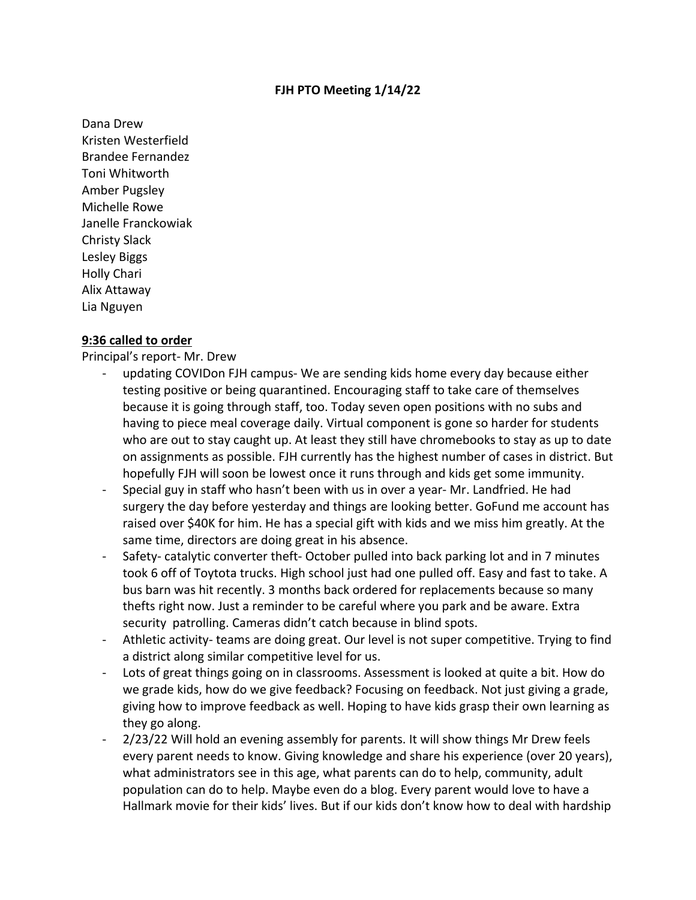## **FJH PTO Meeting 1/14/22**

Dana Drew Kristen Westerfield Brandee Fernandez Toni Whitworth Amber Pugsley Michelle Rowe Janelle Franckowiak Christy Slack Lesley Biggs Holly Chari Alix Attaway Lia Nguyen

## **9:36 called to order**

Principal's report‐ Mr. Drew

- ‐ updating COVIDon FJH campus‐ We are sending kids home every day because either testing positive or being quarantined. Encouraging staff to take care of themselves because it is going through staff, too. Today seven open positions with no subs and having to piece meal coverage daily. Virtual component is gone so harder for students who are out to stay caught up. At least they still have chromebooks to stay as up to date on assignments as possible. FJH currently has the highest number of cases in district. But hopefully FJH will soon be lowest once it runs through and kids get some immunity.
- Special guy in staff who hasn't been with us in over a year- Mr. Landfried. He had surgery the day before yesterday and things are looking better. GoFund me account has raised over \$40K for him. He has a special gift with kids and we miss him greatly. At the same time, directors are doing great in his absence.
- Safety-catalytic converter theft-October pulled into back parking lot and in 7 minutes took 6 off of Toytota trucks. High school just had one pulled off. Easy and fast to take. A bus barn was hit recently. 3 months back ordered for replacements because so many thefts right now. Just a reminder to be careful where you park and be aware. Extra security patrolling. Cameras didn't catch because in blind spots.
- ‐ Athletic activity‐ teams are doing great. Our level is not super competitive. Trying to find a district along similar competitive level for us.
- Lots of great things going on in classrooms. Assessment is looked at quite a bit. How do we grade kids, how do we give feedback? Focusing on feedback. Not just giving a grade, giving how to improve feedback as well. Hoping to have kids grasp their own learning as they go along.
- ‐ 2/23/22 Will hold an evening assembly for parents. It will show things Mr Drew feels every parent needs to know. Giving knowledge and share his experience (over 20 years), what administrators see in this age, what parents can do to help, community, adult population can do to help. Maybe even do a blog. Every parent would love to have a Hallmark movie for their kids' lives. But if our kids don't know how to deal with hardship